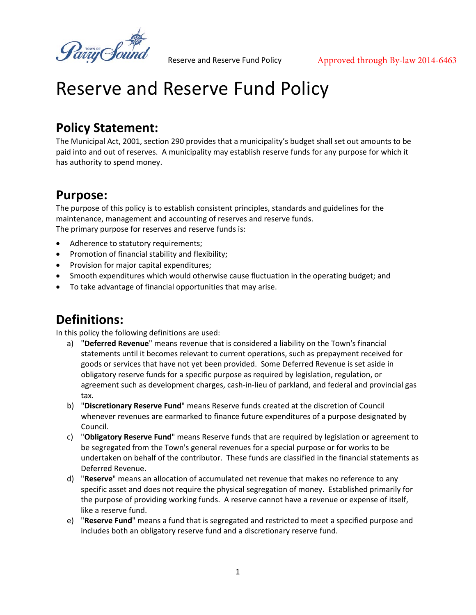Parry Sou

# **Policy Statement:**

The Municipal Act, 2001, section 290 provides that a municipality's budget shall set out amounts to be paid into and out of reserves. A municipality may establish reserve funds for any purpose for which it has authority to spend money.

# **Purpose:**

The purpose of this policy is to establish consistent principles, standards and guidelines for the maintenance, management and accounting of reserves and reserve funds. The primary purpose for reserves and reserve funds is:

- Adherence to statutory requirements;
- Promotion of financial stability and flexibility;
- Provision for major capital expenditures;
- Smooth expenditures which would otherwise cause fluctuation in the operating budget; and
- To take advantage of financial opportunities that may arise.

### **Definitions:**

In this policy the following definitions are used:

- a) "**Deferred Revenue**" means revenue that is considered a liability on the Town's financial statements until it becomes relevant to current operations, such as prepayment received for goods or services that have not yet been provided. Some Deferred Revenue is set aside in obligatory reserve funds for a specific purpose as required by legislation, regulation, or agreement such as development charges, cash-in-lieu of parkland, and federal and provincial gas tax.
- b) "**Discretionary Reserve Fund**" means Reserve funds created at the discretion of Council whenever revenues are earmarked to finance future expenditures of a purpose designated by Council.
- c) "**Obligatory Reserve Fund**" means Reserve funds that are required by legislation or agreement to be segregated from the Town's general revenues for a special purpose or for works to be undertaken on behalf of the contributor. These funds are classified in the financial statements as Deferred Revenue.
- d) "**Reserve**" means an allocation of accumulated net revenue that makes no reference to any specific asset and does not require the physical segregation of money. Established primarily for the purpose of providing working funds. A reserve cannot have a revenue or expense of itself, like a reserve fund.
- e) "**Reserve Fund**" means a fund that is segregated and restricted to meet a specified purpose and includes both an obligatory reserve fund and a discretionary reserve fund.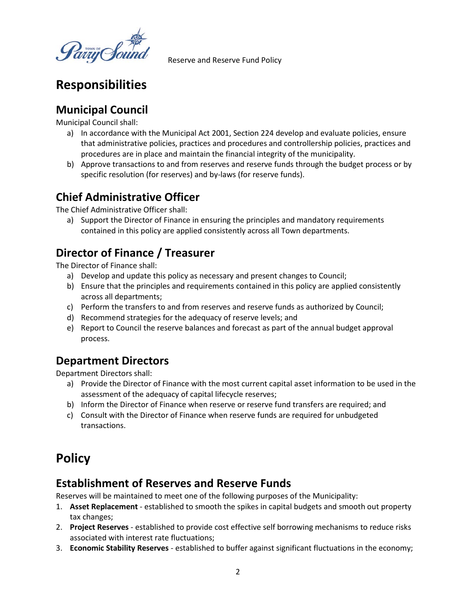dinij Sou

# **Responsibilities**

#### **Municipal Council**

Municipal Council shall:

- a) In accordance with the Municipal Act 2001, Section 224 develop and evaluate policies, ensure that administrative policies, practices and procedures and controllership policies, practices and procedures are in place and maintain the financial integrity of the municipality.
- b) Approve transactions to and from reserves and reserve funds through the budget process or by specific resolution (for reserves) and by-laws (for reserve funds).

#### **Chief Administrative Officer**

The Chief Administrative Officer shall:

a) Support the Director of Finance in ensuring the principles and mandatory requirements contained in this policy are applied consistently across all Town departments.

### **Director of Finance / Treasurer**

The Director of Finance shall:

- a) Develop and update this policy as necessary and present changes to Council;
- b) Ensure that the principles and requirements contained in this policy are applied consistently across all departments;
- c) Perform the transfers to and from reserves and reserve funds as authorized by Council;
- d) Recommend strategies for the adequacy of reserve levels; and
- e) Report to Council the reserve balances and forecast as part of the annual budget approval process.

#### **Department Directors**

Department Directors shall:

- a) Provide the Director of Finance with the most current capital asset information to be used in the assessment of the adequacy of capital lifecycle reserves;
- b) Inform the Director of Finance when reserve or reserve fund transfers are required; and
- c) Consult with the Director of Finance when reserve funds are required for unbudgeted transactions.

# **Policy**

#### **Establishment of Reserves and Reserve Funds**

Reserves will be maintained to meet one of the following purposes of the Municipality:

- 1. **Asset Replacement** established to smooth the spikes in capital budgets and smooth out property tax changes;
- 2. **Project Reserves** established to provide cost effective self borrowing mechanisms to reduce risks associated with interest rate fluctuations;
- 3. **Economic Stability Reserves** established to buffer against significant fluctuations in the economy;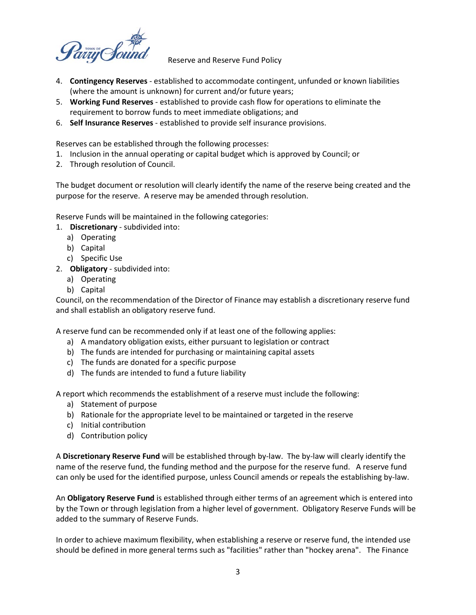

- 4. **Contingency Reserves** established to accommodate contingent, unfunded or known liabilities (where the amount is unknown) for current and/or future years;
- 5. **Working Fund Reserves** established to provide cash flow for operations to eliminate the requirement to borrow funds to meet immediate obligations; and
- 6. **Self Insurance Reserves** established to provide self insurance provisions.

Reserves can be established through the following processes:

- 1. Inclusion in the annual operating or capital budget which is approved by Council; or
- 2. Through resolution of Council.

The budget document or resolution will clearly identify the name of the reserve being created and the purpose for the reserve. A reserve may be amended through resolution.

Reserve Funds will be maintained in the following categories:

- 1. **Discretionary** subdivided into:
	- a) Operating
	- b) Capital
	- c) Specific Use
- 2. **Obligatory** subdivided into:
	- a) Operating
	- b) Capital

Council, on the recommendation of the Director of Finance may establish a discretionary reserve fund and shall establish an obligatory reserve fund.

A reserve fund can be recommended only if at least one of the following applies:

- a) A mandatory obligation exists, either pursuant to legislation or contract
- b) The funds are intended for purchasing or maintaining capital assets
- c) The funds are donated for a specific purpose
- d) The funds are intended to fund a future liability

A report which recommends the establishment of a reserve must include the following:

- a) Statement of purpose
- b) Rationale for the appropriate level to be maintained or targeted in the reserve
- c) Initial contribution
- d) Contribution policy

A **Discretionary Reserve Fund** will be established through by-law. The by-law will clearly identify the name of the reserve fund, the funding method and the purpose for the reserve fund. A reserve fund can only be used for the identified purpose, unless Council amends or repeals the establishing by-law.

An **Obligatory Reserve Fund** is established through either terms of an agreement which is entered into by the Town or through legislation from a higher level of government. Obligatory Reserve Funds will be added to the summary of Reserve Funds.

In order to achieve maximum flexibility, when establishing a reserve or reserve fund, the intended use should be defined in more general terms such as "facilities" rather than "hockey arena". The Finance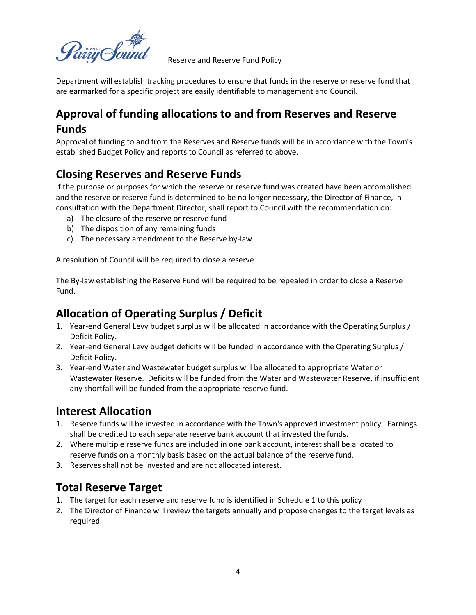Department will establish tracking procedures to ensure that funds in the reserve or reserve fund that are earmarked for a specific project are easily identifiable to management and Council.

# **Approval of funding allocations to and from Reserves and Reserve Funds**

Approval of funding to and from the Reserves and Reserve funds will be in accordance with the Town's established Budget Policy and reports to Council as referred to above.

#### **Closing Reserves and Reserve Funds**

If the purpose or purposes for which the reserve or reserve fund was created have been accomplished and the reserve or reserve fund is determined to be no longer necessary, the Director of Finance, in consultation with the Department Director, shall report to Council with the recommendation on:

- a) The closure of the reserve or reserve fund
- b) The disposition of any remaining funds
- c) The necessary amendment to the Reserve by-law

A resolution of Council will be required to close a reserve.

The By-law establishing the Reserve Fund will be required to be repealed in order to close a Reserve Fund.

#### **Allocation of Operating Surplus / Deficit**

- 1. Year-end General Levy budget surplus will be allocated in accordance with the Operating Surplus / Deficit Policy.
- 2. Year-end General Levy budget deficits will be funded in accordance with the Operating Surplus / Deficit Policy.
- 3. Year-end Water and Wastewater budget surplus will be allocated to appropriate Water or Wastewater Reserve. Deficits will be funded from the Water and Wastewater Reserve, if insufficient any shortfall will be funded from the appropriate reserve fund.

#### **Interest Allocation**

- 1. Reserve funds will be invested in accordance with the Town's approved investment policy. Earnings shall be credited to each separate reserve bank account that invested the funds.
- 2. Where multiple reserve funds are included in one bank account, interest shall be allocated to reserve funds on a monthly basis based on the actual balance of the reserve fund.
- 3. Reserves shall not be invested and are not allocated interest.

#### **Total Reserve Target**

- 1. The target for each reserve and reserve fund is identified in Schedule 1 to this policy
- 2. The Director of Finance will review the targets annually and propose changes to the target levels as required.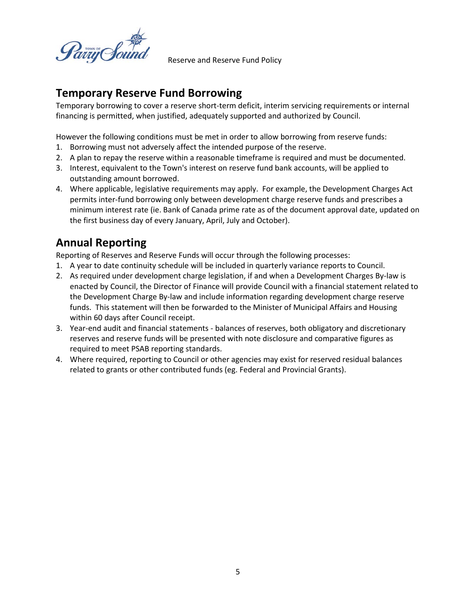any Sou

#### **Temporary Reserve Fund Borrowing**

Temporary borrowing to cover a reserve short-term deficit, interim servicing requirements or internal financing is permitted, when justified, adequately supported and authorized by Council.

However the following conditions must be met in order to allow borrowing from reserve funds:

- 1. Borrowing must not adversely affect the intended purpose of the reserve.
- 2. A plan to repay the reserve within a reasonable timeframe is required and must be documented.
- 3. Interest, equivalent to the Town's interest on reserve fund bank accounts, will be applied to outstanding amount borrowed.
- 4. Where applicable, legislative requirements may apply. For example, the Development Charges Act permits inter-fund borrowing only between development charge reserve funds and prescribes a minimum interest rate (ie. Bank of Canada prime rate as of the document approval date, updated on the first business day of every January, April, July and October).

#### **Annual Reporting**

Reporting of Reserves and Reserve Funds will occur through the following processes:

- 1. A year to date continuity schedule will be included in quarterly variance reports to Council.
- 2. As required under development charge legislation, if and when a Development Charges By-law is enacted by Council, the Director of Finance will provide Council with a financial statement related to the Development Charge By-law and include information regarding development charge reserve funds. This statement will then be forwarded to the Minister of Municipal Affairs and Housing within 60 days after Council receipt.
- 3. Year-end audit and financial statements balances of reserves, both obligatory and discretionary reserves and reserve funds will be presented with note disclosure and comparative figures as required to meet PSAB reporting standards.
- 4. Where required, reporting to Council or other agencies may exist for reserved residual balances related to grants or other contributed funds (eg. Federal and Provincial Grants).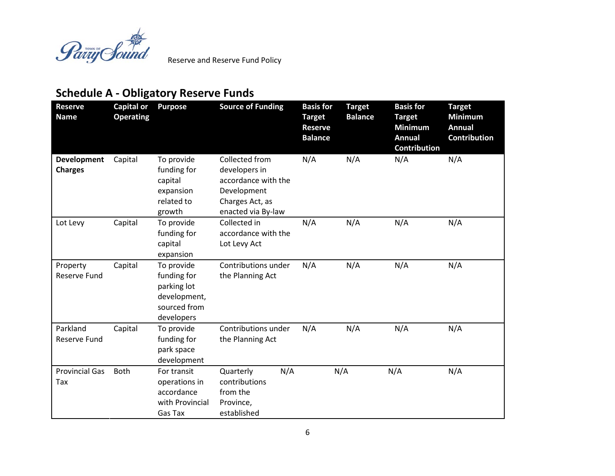

# **Schedule A - Obligatory Reserve Funds**

| <b>Reserve</b><br><b>Name</b>        | <b>Capital or</b><br><b>Operating</b> | <b>Purpose</b>                                                                         | <b>Source of Funding</b>                                                                                       | <b>Basis for</b><br><b>Target</b><br><b>Reserve</b><br><b>Balance</b> | <b>Target</b><br><b>Balance</b> | <b>Basis for</b><br><b>Target</b><br><b>Minimum</b><br><b>Annual</b><br><b>Contribution</b> | <b>Target</b><br><b>Minimum</b><br><b>Annual</b><br><b>Contribution</b> |
|--------------------------------------|---------------------------------------|----------------------------------------------------------------------------------------|----------------------------------------------------------------------------------------------------------------|-----------------------------------------------------------------------|---------------------------------|---------------------------------------------------------------------------------------------|-------------------------------------------------------------------------|
| <b>Development</b><br><b>Charges</b> | Capital                               | To provide<br>funding for<br>capital<br>expansion<br>related to<br>growth              | Collected from<br>developers in<br>accordance with the<br>Development<br>Charges Act, as<br>enacted via By-law | N/A                                                                   | N/A                             | N/A                                                                                         | N/A                                                                     |
| Lot Levy                             | Capital                               | To provide<br>funding for<br>capital<br>expansion                                      | Collected in<br>accordance with the<br>Lot Levy Act                                                            | N/A                                                                   | N/A                             | N/A                                                                                         | N/A                                                                     |
| Property<br>Reserve Fund             | Capital                               | To provide<br>funding for<br>parking lot<br>development,<br>sourced from<br>developers | Contributions under<br>the Planning Act                                                                        | N/A                                                                   | N/A                             | N/A                                                                                         | N/A                                                                     |
| Parkland<br>Reserve Fund             | Capital                               | To provide<br>funding for<br>park space<br>development                                 | Contributions under<br>the Planning Act                                                                        | N/A                                                                   | N/A                             | N/A                                                                                         | N/A                                                                     |
| <b>Provincial Gas</b><br>Tax         | <b>Both</b>                           | For transit<br>operations in<br>accordance<br>with Provincial<br>Gas Tax               | N/A<br>Quarterly<br>contributions<br>from the<br>Province,<br>established                                      |                                                                       | N/A                             | N/A                                                                                         | N/A                                                                     |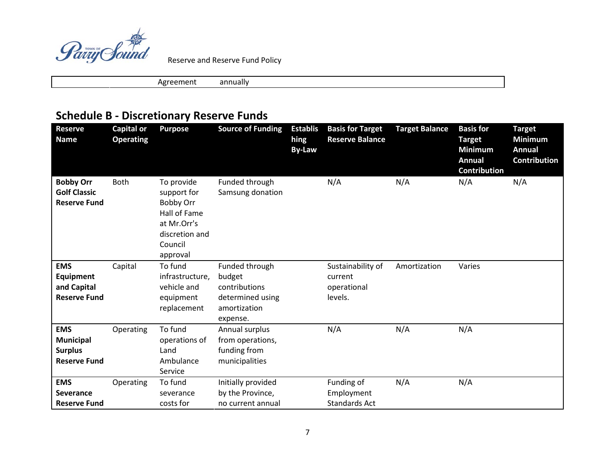

Agreement annually

# **Schedule B - Discretionary Reserve Funds**

| <b>Reserve</b><br><b>Name</b>                                           | <b>Capital or</b><br><b>Operating</b> | <b>Purpose</b>                                                                                                 | <b>Source of Funding</b>                                                                  | <b>Establis</b><br>hing<br><b>By-Law</b> | <b>Basis for Target</b><br><b>Reserve Balance</b>      | <b>Target Balance</b> | <b>Basis for</b><br><b>Target</b><br><b>Minimum</b><br><b>Annual</b><br><b>Contribution</b> | <b>Target</b><br><b>Minimum</b><br><b>Annual</b><br><b>Contribution</b> |
|-------------------------------------------------------------------------|---------------------------------------|----------------------------------------------------------------------------------------------------------------|-------------------------------------------------------------------------------------------|------------------------------------------|--------------------------------------------------------|-----------------------|---------------------------------------------------------------------------------------------|-------------------------------------------------------------------------|
| <b>Bobby Orr</b><br><b>Golf Classic</b><br><b>Reserve Fund</b>          | Both                                  | To provide<br>support for<br>Bobby Orr<br>Hall of Fame<br>at Mr.Orr's<br>discretion and<br>Council<br>approval | Funded through<br>Samsung donation                                                        |                                          | N/A                                                    | N/A                   | N/A                                                                                         | N/A                                                                     |
| <b>EMS</b><br><b>Equipment</b><br>and Capital<br><b>Reserve Fund</b>    | Capital                               | To fund<br>infrastructure,<br>vehicle and<br>equipment<br>replacement                                          | Funded through<br>budget<br>contributions<br>determined using<br>amortization<br>expense. |                                          | Sustainability of<br>current<br>operational<br>levels. | Amortization          | Varies                                                                                      |                                                                         |
| <b>EMS</b><br><b>Municipal</b><br><b>Surplus</b><br><b>Reserve Fund</b> | Operating                             | To fund<br>operations of<br>Land<br>Ambulance<br>Service                                                       | Annual surplus<br>from operations,<br>funding from<br>municipalities                      |                                          | N/A                                                    | N/A                   | N/A                                                                                         |                                                                         |
| <b>EMS</b><br><b>Severance</b><br><b>Reserve Fund</b>                   | Operating                             | To fund<br>severance<br>costs for                                                                              | Initially provided<br>by the Province,<br>no current annual                               |                                          | Funding of<br>Employment<br><b>Standards Act</b>       | N/A                   | N/A                                                                                         |                                                                         |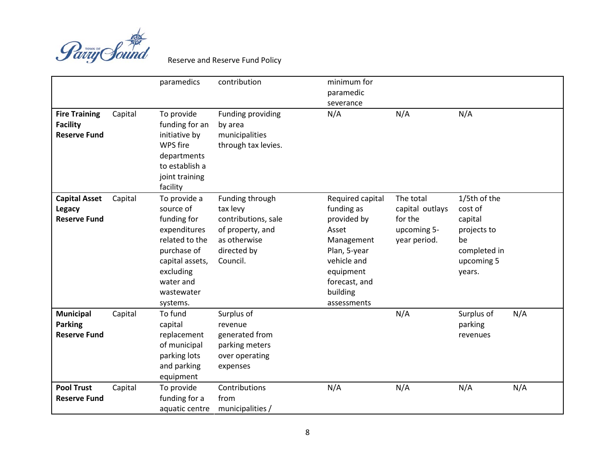

|                                                                |         | paramedics                                                                                                                                                       | contribution                                                                                                      | minimum for<br>paramedic<br>severance                                                                                                                        |                                                                        |                                                                                                 |     |
|----------------------------------------------------------------|---------|------------------------------------------------------------------------------------------------------------------------------------------------------------------|-------------------------------------------------------------------------------------------------------------------|--------------------------------------------------------------------------------------------------------------------------------------------------------------|------------------------------------------------------------------------|-------------------------------------------------------------------------------------------------|-----|
| <b>Fire Training</b><br><b>Facility</b><br><b>Reserve Fund</b> | Capital | To provide<br>funding for an<br>initiative by<br>WPS fire<br>departments<br>to establish a<br>joint training<br>facility                                         | Funding providing<br>by area<br>municipalities<br>through tax levies.                                             | N/A                                                                                                                                                          | N/A                                                                    | N/A                                                                                             |     |
| <b>Capital Asset</b><br><b>Legacy</b><br><b>Reserve Fund</b>   | Capital | To provide a<br>source of<br>funding for<br>expenditures<br>related to the<br>purchase of<br>capital assets,<br>excluding<br>water and<br>wastewater<br>systems. | Funding through<br>tax levy<br>contributions, sale<br>of property, and<br>as otherwise<br>directed by<br>Council. | Required capital<br>funding as<br>provided by<br>Asset<br>Management<br>Plan, 5-year<br>vehicle and<br>equipment<br>forecast, and<br>building<br>assessments | The total<br>capital outlays<br>for the<br>upcoming 5-<br>year period. | 1/5th of the<br>cost of<br>capital<br>projects to<br>be<br>completed in<br>upcoming 5<br>years. |     |
| <b>Municipal</b><br><b>Parking</b><br><b>Reserve Fund</b>      | Capital | To fund<br>capital<br>replacement<br>of municipal<br>parking lots<br>and parking<br>equipment                                                                    | Surplus of<br>revenue<br>generated from<br>parking meters<br>over operating<br>expenses                           |                                                                                                                                                              | N/A                                                                    | Surplus of<br>parking<br>revenues                                                               | N/A |
| <b>Pool Trust</b><br><b>Reserve Fund</b>                       | Capital | To provide<br>funding for a<br>aquatic centre                                                                                                                    | Contributions<br>from<br>municipalities /                                                                         | N/A                                                                                                                                                          | N/A                                                                    | N/A                                                                                             | N/A |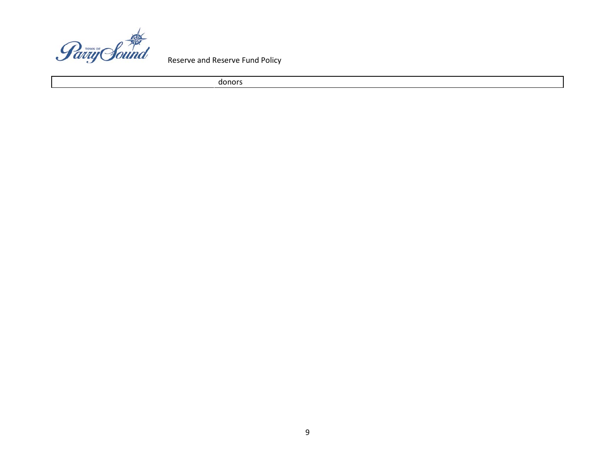

donors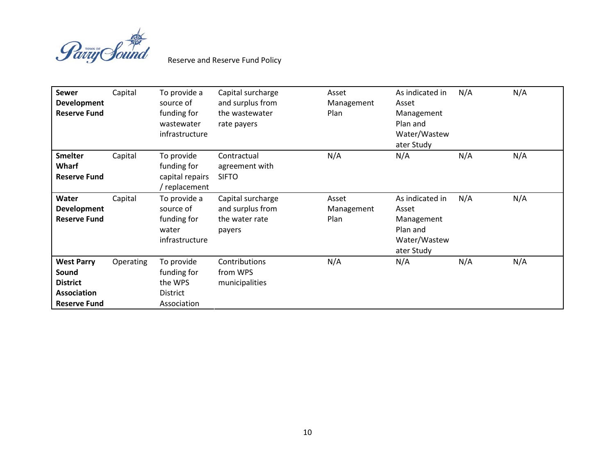

| <b>Sewer</b><br><b>Development</b><br><b>Reserve Fund</b>                                  | Capital   | To provide a<br>source of<br>funding for<br>wastewater<br>infrastructure | Capital surcharge<br>and surplus from<br>the wastewater<br>rate payers | Asset<br>Management<br>Plan | As indicated in<br>Asset<br>Management<br>Plan and<br>Water/Wastew<br>ater Study | N/A | N/A |
|--------------------------------------------------------------------------------------------|-----------|--------------------------------------------------------------------------|------------------------------------------------------------------------|-----------------------------|----------------------------------------------------------------------------------|-----|-----|
| <b>Smelter</b><br>Wharf<br><b>Reserve Fund</b>                                             | Capital   | To provide<br>funding for<br>capital repairs<br>replacement              | Contractual<br>agreement with<br><b>SIFTO</b>                          | N/A                         | N/A                                                                              | N/A | N/A |
| Water<br><b>Development</b><br><b>Reserve Fund</b>                                         | Capital   | To provide a<br>source of<br>funding for<br>water<br>infrastructure      | Capital surcharge<br>and surplus from<br>the water rate<br>payers      | Asset<br>Management<br>Plan | As indicated in<br>Asset<br>Management<br>Plan and<br>Water/Wastew<br>ater Study | N/A | N/A |
| <b>West Parry</b><br>Sound<br><b>District</b><br><b>Association</b><br><b>Reserve Fund</b> | Operating | To provide<br>funding for<br>the WPS<br><b>District</b><br>Association   | Contributions<br>from WPS<br>municipalities                            | N/A                         | N/A                                                                              | N/A | N/A |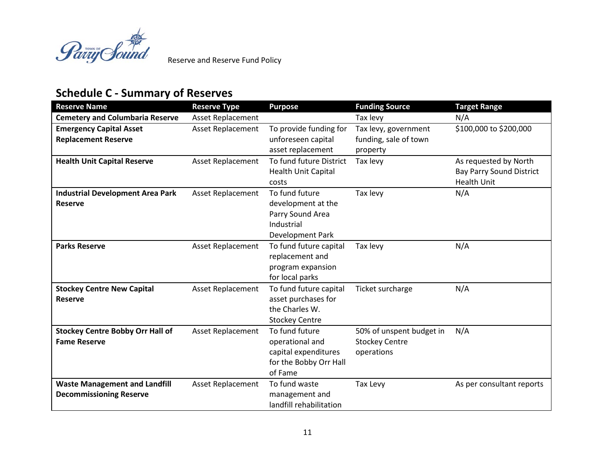

# **Schedule C - Summary of Reserves**

| <b>Reserve Name</b>                                                    | <b>Reserve Type</b>      | <b>Purpose</b>                                                                                 | <b>Funding Source</b>                                           | <b>Target Range</b>                                                            |
|------------------------------------------------------------------------|--------------------------|------------------------------------------------------------------------------------------------|-----------------------------------------------------------------|--------------------------------------------------------------------------------|
| <b>Cemetery and Columbaria Reserve</b>                                 | <b>Asset Replacement</b> |                                                                                                | Tax levy                                                        | N/A                                                                            |
| <b>Emergency Capital Asset</b><br><b>Replacement Reserve</b>           | <b>Asset Replacement</b> | To provide funding for<br>unforeseen capital<br>asset replacement                              | Tax levy, government<br>funding, sale of town<br>property       | \$100,000 to \$200,000                                                         |
| <b>Health Unit Capital Reserve</b>                                     | <b>Asset Replacement</b> | To fund future District<br><b>Health Unit Capital</b><br>costs                                 | Tax levy                                                        | As requested by North<br><b>Bay Parry Sound District</b><br><b>Health Unit</b> |
| <b>Industrial Development Area Park</b><br><b>Reserve</b>              | <b>Asset Replacement</b> | To fund future<br>development at the<br>Parry Sound Area<br>Industrial<br>Development Park     | Tax levy                                                        | N/A                                                                            |
| <b>Parks Reserve</b>                                                   | <b>Asset Replacement</b> | To fund future capital<br>replacement and<br>program expansion<br>for local parks              | Tax levy                                                        | N/A                                                                            |
| <b>Stockey Centre New Capital</b><br><b>Reserve</b>                    | Asset Replacement        | To fund future capital<br>asset purchases for<br>the Charles W.<br><b>Stockey Centre</b>       | Ticket surcharge                                                | N/A                                                                            |
| <b>Stockey Centre Bobby Orr Hall of</b><br><b>Fame Reserve</b>         | <b>Asset Replacement</b> | To fund future<br>operational and<br>capital expenditures<br>for the Bobby Orr Hall<br>of Fame | 50% of unspent budget in<br><b>Stockey Centre</b><br>operations | N/A                                                                            |
| <b>Waste Management and Landfill</b><br><b>Decommissioning Reserve</b> | Asset Replacement        | To fund waste<br>management and<br>landfill rehabilitation                                     | Tax Levy                                                        | As per consultant reports                                                      |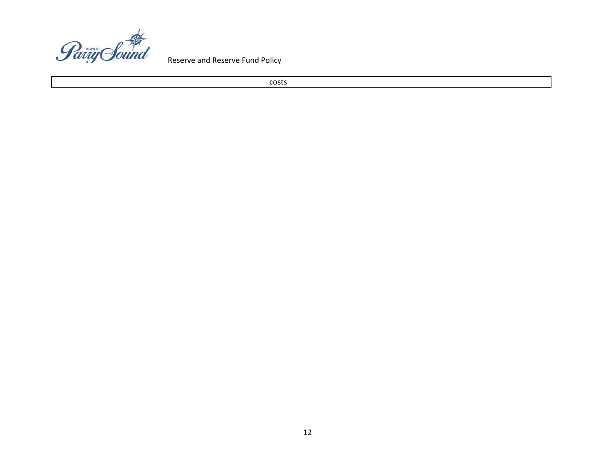

costs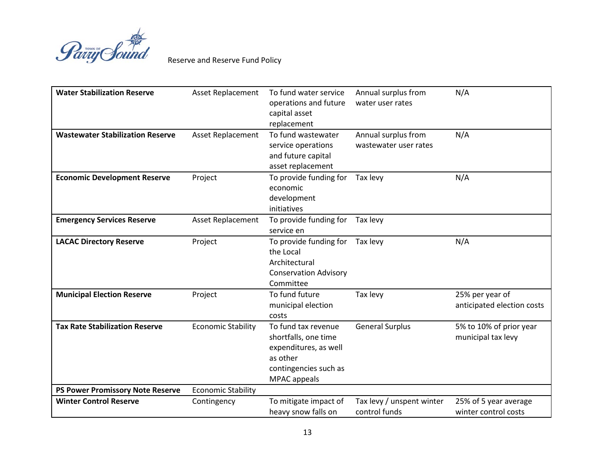

| <b>Water Stabilization Reserve</b>      | <b>Asset Replacement</b>  | To fund water service<br>operations and future<br>capital asset<br>replacement                                            | Annual surplus from<br>water user rates      | N/A                                           |
|-----------------------------------------|---------------------------|---------------------------------------------------------------------------------------------------------------------------|----------------------------------------------|-----------------------------------------------|
| <b>Wastewater Stabilization Reserve</b> | <b>Asset Replacement</b>  | To fund wastewater<br>service operations<br>and future capital<br>asset replacement                                       | Annual surplus from<br>wastewater user rates | N/A                                           |
| <b>Economic Development Reserve</b>     | Project                   | To provide funding for<br>economic<br>development<br>initiatives                                                          | Tax levy                                     | N/A                                           |
| <b>Emergency Services Reserve</b>       | <b>Asset Replacement</b>  | To provide funding for<br>service en                                                                                      | Tax levy                                     |                                               |
| <b>LACAC Directory Reserve</b>          | Project                   | To provide funding for<br>the Local<br>Architectural<br><b>Conservation Advisory</b><br>Committee                         | Tax levy                                     | N/A                                           |
| <b>Municipal Election Reserve</b>       | Project                   | To fund future<br>municipal election<br>costs                                                                             | Tax levy                                     | 25% per year of<br>anticipated election costs |
| <b>Tax Rate Stabilization Reserve</b>   | <b>Economic Stability</b> | To fund tax revenue<br>shortfalls, one time<br>expenditures, as well<br>as other<br>contingencies such as<br>MPAC appeals | <b>General Surplus</b>                       | 5% to 10% of prior year<br>municipal tax levy |
| <b>PS Power Promissory Note Reserve</b> | <b>Economic Stability</b> |                                                                                                                           |                                              |                                               |
| <b>Winter Control Reserve</b>           | Contingency               | To mitigate impact of<br>heavy snow falls on                                                                              | Tax levy / unspent winter<br>control funds   | 25% of 5 year average<br>winter control costs |